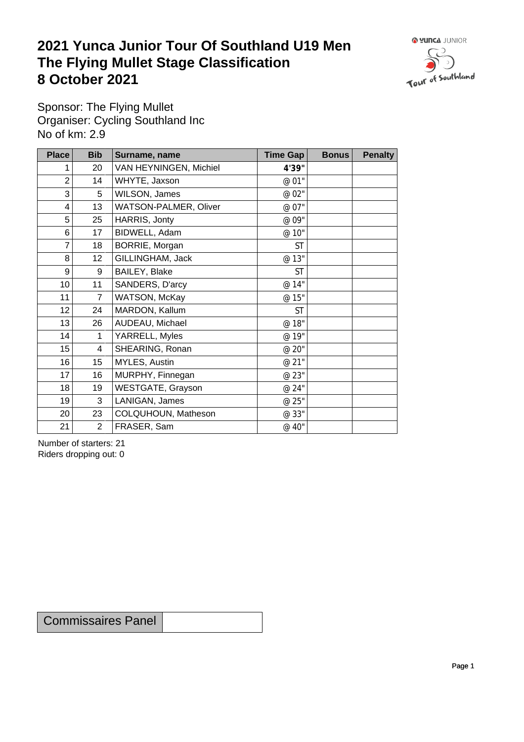## **2021 Yunca Junior Tour Of Southland U19 Men** The Flying Mullet Stage Classification<br>8 October 2021 **8 October 2021**



Sponsor: The Flying Mullet Organiser: Cycling Southland Inc No of km: 2.9

| <b>Place</b>    | <b>Bib</b>       | Surname, name          | <b>Time Gap</b> | <b>Bonus</b> | <b>Penalty</b> |
|-----------------|------------------|------------------------|-----------------|--------------|----------------|
|                 | 20               | VAN HEYNINGEN, Michiel | 4'39"           |              |                |
| 2               | 14               | WHYTE, Jaxson          | @ 01"           |              |                |
| 3               | 5                | WILSON, James          | @ 02"           |              |                |
| 4               | 13               | WATSON-PALMER, Oliver  | @ 07"           |              |                |
| 5               | 25               | HARRIS, Jonty          | @ 09"           |              |                |
| 6               | 17               | BIDWELL, Adam          | @ 10"           |              |                |
| 7               | 18               | BORRIE, Morgan         | <b>ST</b>       |              |                |
| 8               | 12               | GILLINGHAM, Jack       | @ 13"           |              |                |
| 9               | 9                | BAILEY, Blake          | <b>ST</b>       |              |                |
| 10 <sup>1</sup> | 11               | SANDERS, D'arcy        | @ 14"           |              |                |
| 11              | $\overline{7}$   | WATSON, McKay          | @ 15"           |              |                |
| 12              | 24               | MARDON, Kallum         | <b>ST</b>       |              |                |
| 13              | 26               | AUDEAU, Michael        | @ 18"           |              |                |
| 14              | $\mathbf 1$      | YARRELL, Myles         | @ 19"           |              |                |
| 15              | $\overline{4}$   | SHEARING, Ronan        | @ 20"           |              |                |
| 16              | 15 <sub>15</sub> | MYLES, Austin          | @ 21"           |              |                |
| 17              | 16               | MURPHY, Finnegan       | @ 23"           |              |                |
| 18              | 19               | WESTGATE, Grayson      | @ 24"           |              |                |
| 19              | 3                | LANIGAN, James         | @ 25"           |              |                |
| 20              | 23               | COLQUHOUN, Matheson    | @ 33"           |              |                |
| 21              | $\overline{2}$   | FRASER, Sam            | @ 40"           |              |                |

Number of starters: 21 Riders dropping out: 0

Commissaires Panel